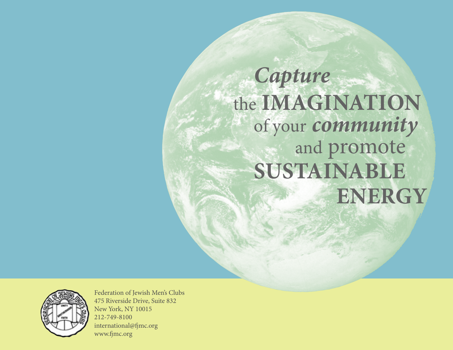## *Capture*  the **IMAGINATION** of your *community* and promote **SUSTAINABLE ENERGY**



Federation of Jewish Men's Clubs 475 Riverside Drive, Suite 832 New York, NY 10015 212-749-8100 international@fjmc.org www.fjmc.org